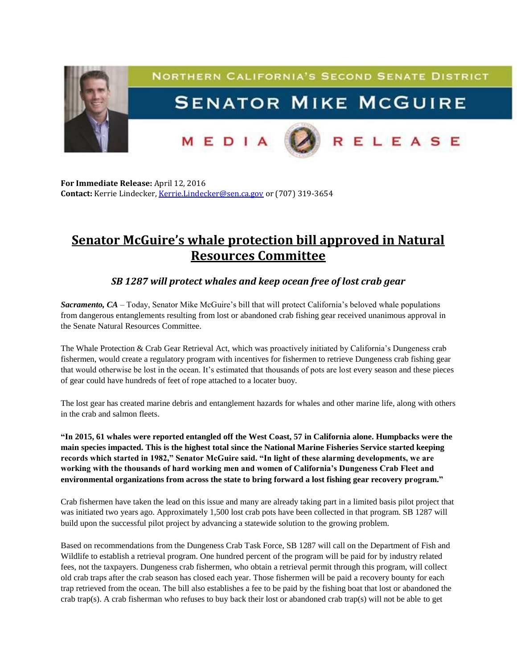

**For Immediate Release:** April 12, 2016 **Contact:** Kerrie Lindecker, [Kerrie.Lindecker@sen.ca.gov](mailto:Kerrie.Lindecker@sen.ca.gov) or (707) 319-3654

## **Senator McGuire's whale protection bill approved in Natural Resources Committee**

## *SB 1287 will protect whales and keep ocean free of lost crab gear*

*Sacramento, CA* – Today, Senator Mike McGuire's bill that will protect California's beloved whale populations from dangerous entanglements resulting from lost or abandoned crab fishing gear received unanimous approval in the Senate Natural Resources Committee.

The Whale Protection & Crab Gear Retrieval Act, which was proactively initiated by California's Dungeness crab fishermen, would create a regulatory program with incentives for fishermen to retrieve Dungeness crab fishing gear that would otherwise be lost in the ocean. It's estimated that thousands of pots are lost every season and these pieces of gear could have hundreds of feet of rope attached to a locater buoy.

The lost gear has created marine debris and entanglement hazards for whales and other marine life, along with others in the crab and salmon fleets.

**"In 2015, 61 whales were reported entangled off the West Coast, 57 in California alone. Humpbacks were the main species impacted. This is the highest total since the National Marine Fisheries Service started keeping records which started in 1982," Senator McGuire said. "In light of these alarming developments, we are working with the thousands of hard working men and women of California's Dungeness Crab Fleet and environmental organizations from across the state to bring forward a lost fishing gear recovery program."**

Crab fishermen have taken the lead on this issue and many are already taking part in a limited basis pilot project that was initiated two years ago. Approximately 1,500 lost crab pots have been collected in that program. SB 1287 will build upon the successful pilot project by advancing a statewide solution to the growing problem.

Based on recommendations from the Dungeness Crab Task Force, SB 1287 will call on the Department of Fish and Wildlife to establish a retrieval program. One hundred percent of the program will be paid for by industry related fees, not the taxpayers. Dungeness crab fishermen, who obtain a retrieval permit through this program, will collect old crab traps after the crab season has closed each year. Those fishermen will be paid a recovery bounty for each trap retrieved from the ocean. The bill also establishes a fee to be paid by the fishing boat that lost or abandoned the crab trap(s). A crab fisherman who refuses to buy back their lost or abandoned crab trap(s) will not be able to get